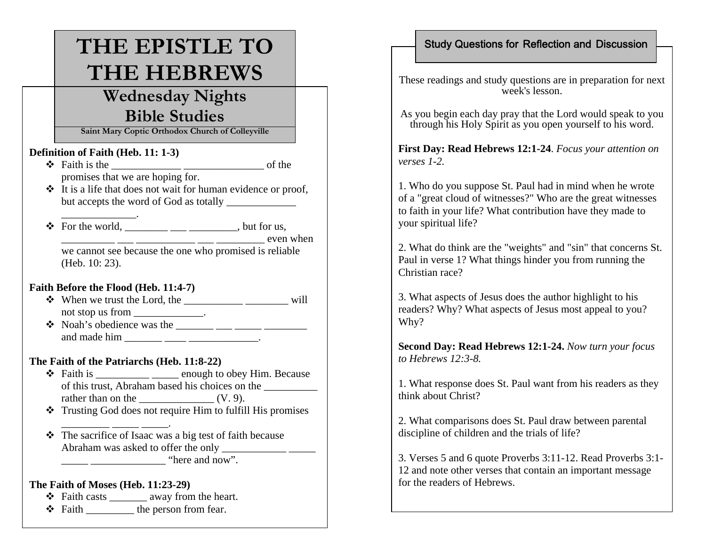# **THE EPISTLE TO THE HEBREWS**

# **Wednesday Nights Bible Studies**

**Saint Mary Coptic Orthodox Church of Colleyville**

#### **Definition of Faith (Heb. 11: 1-3)**

- Faith is the \_\_\_\_\_\_\_\_\_\_\_\_\_ \_\_\_\_\_\_\_\_\_\_\_\_\_\_\_ of the promises that we are hoping for.
- $\cdot \cdot$  It is a life that does not wait for human evidence or proof, but accepts the word of God as totally
- $\triangleq$  For the world, \_\_\_\_\_\_\_\_\_\_\_\_\_\_\_, but for us,  $\frac{1}{\sqrt{1-\frac{1}{2}}}\frac{1}{\sqrt{1-\frac{1}{2}}}\frac{1}{\sqrt{1-\frac{1}{2}}}\frac{1}{\sqrt{1-\frac{1}{2}}}\frac{1}{\sqrt{1-\frac{1}{2}}}\frac{1}{\sqrt{1-\frac{1}{2}}}\frac{1}{\sqrt{1-\frac{1}{2}}}\frac{1}{\sqrt{1-\frac{1}{2}}}\frac{1}{\sqrt{1-\frac{1}{2}}}\frac{1}{\sqrt{1-\frac{1}{2}}}\frac{1}{\sqrt{1-\frac{1}{2}}}\frac{1}{\sqrt{1-\frac{1}{2}}}\frac{1}{\sqrt{1-\frac{1}{2}}}\frac{1}{\sqrt{1-\frac{$ we cannot see because the one who promised is reliable (Heb. 10: 23).

#### **Faith Before the Flood (Heb. 11:4-7)**

- When we trust the Lord, the \_\_\_\_\_\_\_\_\_\_\_ \_\_\_\_\_\_\_\_ will not stop us from  $\blacksquare$
- Noah's obedience was the \_\_\_\_\_\_\_ \_\_\_ \_\_\_\_\_ \_\_\_\_\_\_\_\_ and made him  $\frac{1}{\sqrt{1-\frac{1}{2}}}\frac{1}{\sqrt{1-\frac{1}{2}}}\frac{1}{\sqrt{1-\frac{1}{2}}}\cdots$

#### **The Faith of the Patriarchs (Heb. 11:8-22)**

- $\triangleleft$  Faith is \_\_\_\_\_\_\_\_\_\_\_\_\_\_\_\_\_\_\_\_\_\_ enough to obey Him. Because of this trust, Abraham based his choices on the \_\_\_\_\_\_\_\_\_\_ rather than on the  $\_\_\_\_\_\_$  (V. 9).
- Trusting God does not require Him to fulfill His promises
- The sacrifice of Isaac was a big test of faith because Abraham was asked to offer the only \_\_\_\_\_\_\_\_\_\_\_\_ \_\_\_\_\_  $\frac{1}{2}$   $\frac{1}{2}$   $\frac{1}{2}$   $\frac{1}{2}$   $\frac{1}{2}$   $\frac{1}{2}$   $\frac{1}{2}$   $\frac{1}{2}$   $\frac{1}{2}$   $\frac{1}{2}$   $\frac{1}{2}$   $\frac{1}{2}$   $\frac{1}{2}$   $\frac{1}{2}$   $\frac{1}{2}$   $\frac{1}{2}$   $\frac{1}{2}$   $\frac{1}{2}$   $\frac{1}{2}$   $\frac{1}{2}$   $\frac{1}{2}$   $\frac{1}{2}$

#### **The Faith of Moses (Heb. 11:23-29)**

 $\overline{\phantom{a}}$  , and the contribution of the contribution of  $\overline{\phantom{a}}$  , and the contribution of  $\overline{\phantom{a}}$ 

- $\triangleleft$  Faith casts \_\_\_\_\_\_\_\_\_\_ away from the heart.
- $\div$  Faith \_\_\_\_\_\_\_\_\_\_\_\_ the person from fear.

## Study Questions for Reflection and Discussion

These readings and study questions are in preparation for next week's lesson.

As you begin each day pray that the Lord would speak to you through his Holy Spirit as you open yourself to his word.

**First Day: Read Hebrews 12:1-24**. *Focus your attention on verses 1-2.* 

1. Who do you suppose St. Paul had in mind when he wrote of a "great cloud of witnesses?" Who are the great witnesses to faith in your life? What contribution have they made to your spiritual life?

2. What do think are the "weights" and "sin" that concerns St. Paul in verse 1? What things hinder you from running the Christian race?

3. What aspects of Jesus does the author highlight to his readers? Why? What aspects of Jesus most appeal to you? Why?

**Second Day: Read Hebrews 12:1-24.** *Now turn your focus to Hebrews 12:3-8.* 

1. What response does St. Paul want from his readers as they think about Christ?

2. What comparisons does St. Paul draw between parental discipline of children and the trials of life?

3. Verses 5 and 6 quote Proverbs 3:11-12. Read Proverbs 3:1- 12 and note other verses that contain an important message for the readers of Hebrews.